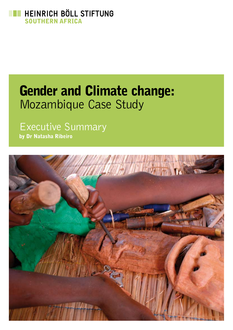

# Gender and Climate change: Mozambique Case Study

## Executive Summary

by Dr Natasha Ribeiro

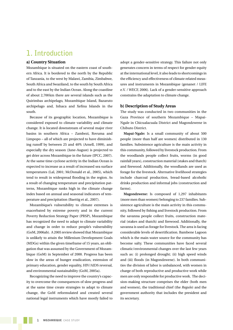## **1. Introduction**

#### **a) Country Situation**

Mozambique is situated on the eastern coast of southern Africa. It is bordered to the north by the Republic of Tanzania, to the west by Malawi, Zambia, Zimbabwe, South Africa and Swaziland, to the south by South Africa and to the east by the Indian Ocean. Along the coastline of about 2,700km there are several islands such as the Quirimbas archipelago, Mozambique Island, Bazaruto archipelago and, Inhaca and Xefina Islands in the south.

Because of its geographic location, Mozambique is considered exposed to climate variability and climate change. It is located downstream of several major river basins in southern Africa – Zambezi, Rovuma and Limpopo – all of which are projected to have diminishing runoff by between 25 and 40% (Arnell, 1999), and especially the dry season (June-August) is projected to get drier across Mozambique in the future (IPCC, 2007). At the same time cyclone activity in the Indian Ocean is expected to increase as a result of increased sea surface temperatures (Lal, 2001; McDonald et al., 2005), which tend to result in widespread flooding in the region. As a result of changing temperature and precipitation patterns, Mozambique ranks high in the climate change index based on annual and seasonal indicators of temperature and precipitation (Baettig et al., 2007).

Mozambique's vulnerability to climate extremes is exacerbated by extreme poverty and in the current Poverty Reduction Strategy Paper (PRSP), Mozambique has recognized the need to adapt to climate variability and change in order to reduce people's vulnerability (GoM, 2006ab). A 2005 review showed that Mozambique is unlikely to attain the Millenium Development Goals (MDGs) within the given timeframe of 15 years, an obligation that was assumed by the Government of Mozambique (GoM) in September of 2000. Progress has been slow in the areas of hunger eradication, extension of primary education, gender equality, HIV/AIDS reversal, and environmental sustainability (GoM, 2005a).

Recognizing the need to improve the country's capacity to overcome the consequences of slow progress and at the same time create strategies to adapt to climate change, the GoM reformulated and created several national legal instruments which have mostly failed to

adopt a gender-sensitive strategy. This failure not only generates concern in terms of respect for gender equity at the international level, it also leads to shortcomings in the efficiency and effectiveness of climate related measures and instruments in Mozambique (genanet / LIFE e.V. / WECF, 2006). Lack of a gender-sensitive approach constrains the adaptation to climate change.

#### **b) Description of Study Areas**

The study was conducted in two communities in the Gaza Province of southern Mozambique – Mapai-Ngale in Chicualacuala District and Magondzwene in Chibuto District.

**Mapai-Ngale:** Is a small community of about 500 people (more than half are women) distributed in 130 families. Subsistence agriculture is the main activity in this community, followed by livestock production. From the woodlands people collect fruits, worms (in good rainfall years), construction material (stakes and thatch) and firewood. Additionally, the woodlands are used as forage for the livestock. Alternative livelihood strategies include charcoal production, bread-based alcoholic drinks production and informal jobs (construction and farms).

**Magondzwene:** Is composed of 1,297 inhabitants (more men than women) belonging to 237 families. Subsistence agriculture is the main activity in this community, followed by fishing and livestock production. From the savanna people collect fruits, construction material (stakes and thatch) and firewood. Additionally, the savanna is used as forage for livestock. The area is facing considerable levels of desertification. Bambene Lagoon which is the main water source for the community has become salty. These communities have faced several climatic/environmental changes over the last few years such as: (i) prolonged drought; (ii) high speed winds and (iii) floods (in Magondzwene). In both communities the division of labor is unbalanced, with women in charge of both reproductive and productive work while men are only responsible for productive work. The decision-making structure comprises the elder (both men and women), the traditional chief (the *Regulo*) and the government authority that includes the president and its secretary.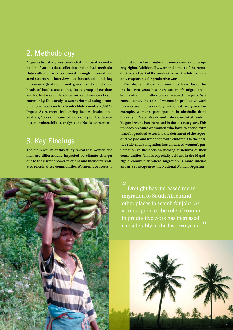## **2. Methodology**

**A qualitative study was conducted that used a combination of various data collection and analysis methods. Data collection was performed through informal and semi-structured interviews to households and key informants (traditional and government's chiefs and heads of local associations), focus group discussions and life histories of the oldest men and women of each community. Data analysis was performed using a combination of tools such as Gender Matrix Analysis (GMA), Impact Assessment, Influencing factors, Institutional analysis, Access and control and social profiles, Capacities and vulnerabilities analysis and Needs assessment.** 

## **3. Key Findings**

**The main results of this study reveal that women and men are differentially impacted by climate changes due to the current power relations and their differentiated roles in these communities. Women have access to** 

**but not control over natural resources and other property rights. Additionally, women do most of the reproductive and part of the productive work, while men are only responsible for productive work.** 

**The drought these communities have faced for the last two years has increased men's migration to South Africa and other places in search for jobs. As a consequence, the role of women in productive work has increased considerably in the last two years. For example, women's participation in alcoholic drink brewing in Mapai-Ngale and fisheries-related work in Magondzwene has increased in the last two years. This imposes pressure on women who have to spend extra time for productive work to the detriment of the reproductive jobs and time spent with children. On the positive side, men's migration has enhanced women's participation in the decision-making structures of their communities. This is especially evident in the Mapai-Ngale community where migration is more intense and as a consequence, the National Women Organiza**

Drought has increased men's migration to South Africa and other places in search for jobs. As a consequence, the role of women in productive work has increased considerably in the last two years.



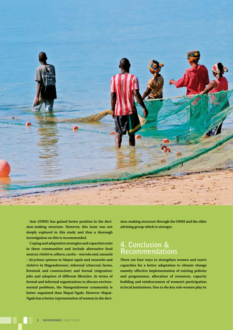

**tion (OMM) has gained better position in the decision-making structure. However, this issue was not deeply explored in this study and thus a thorough investigation on this is recommended.** 

**Coping and adaptation strategies and capacities exist in these communities and include alternative food sources** *(tinhirre, ulharo, canhu – marula and, massala – Strychnos spinosa in Mapai-ngale* **and** *muambo* **and** *tinhirre* **in Magondzwene), informal (charcoal, farms, livestock and construction) and formal (migration) jobs and adoption of different lifestyles. In terms of formal and informal organizations to discuss environmental problems, the Mangondzwene community is better organized than Mapai-Ngale. However Mapai-Ngale has a better representation of women in the deci-** **sion-making structure through the OMM and the elder advising group which is stronger.** 

### **4. Conclusion & Recommendations**

**There are four ways to strengthen women and men's capacities for a better adaptation to climate change namely: effective implementation of existing policies and programmes, allocation of resources, capacity building and reinforcement of women's participation in local institutions. Due to the key role women play in**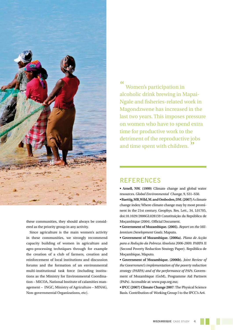

these communities, they should always be considered as the priority group in any activity.

Since agriculture is the main women's activity in these communities, we strongly recommend capacity building of women in agriculture and agro-processing techniques through for example the creation of a club of farmers, creation and reinforcement of local institutions and discussion forums and the formation of an environmental multi-institutional task force (including institutions as the Ministry for Environmental Coordination – MICOA, National Institute of calamities management – INGC, Ministry of Agriculture – MINAG, Non-governmental Organizations, etc).

 $"$ Women's participation in alcoholic drink brewing in Mapai-Ngale and fisheries-related work in Magondzwene has increased in the last two years. This imposes pressure on women who have to spend extra time for productive work to the detriment of the reproductive jobs and time spent with children."

#### **REFERENCES**

**• Arnell, NW. (1999)** Climate change and global water resources. *Global Environmental Change*, 9, S31–S50.

**• Baettig, MB, Wild, M. and Omboden, DM. (2007)** A climate change index: Where climate change may by most prominent in the 21st century. Geophys. Res. Lett., 34, L01705, doi:10.1029/2006GL028159 Constituição da República de Moçambique (2004). Official Document.

**• Government of Mozambique. (2005).** *Report on the Millennium Development Goals*. Maputo.

**• Government of Mozambique. (2006a)**. *Plano de Acção para a Redução da Pobreza Absoluta 2006-2009*. PARPA II (Second Poverty Reduction Strategy Paper). República de Moçambique, Maputo.

**• Government of Mozambique. (2006b).** *Joint Review of the Government's implementation of the poverty reduction strategy (PARPA) and of the performance of PAPs.* Government of Mozambique (GoM), Programme Aid Partners (PAPs). Accessible at: www.pap.org.mz;

**• IPCC (2007) Climate Change 2007**: The Physical Science Basis. Contribution of Working Group I to the IPCC's Ar4.